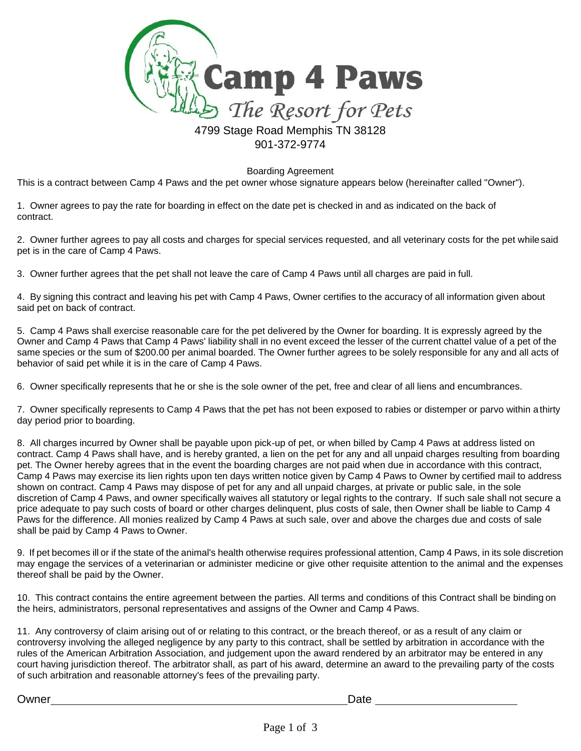

Boarding Agreement

This is a contract between Camp 4 Paws and the pet owner whose signature appears below (hereinafter called "Owner").

1. Owner agrees to pay the rate for boarding in effect on the date pet is checked in and as indicated on the back of contract.

2. Owner further agrees to pay all costs and charges for special services requested, and all veterinary costs for the pet while said pet is in the care of Camp 4 Paws.

3. Owner further agrees that the pet shall not leave the care of Camp 4 Paws until all charges are paid in full.

4. By signing this contract and leaving his pet with Camp 4 Paws, Owner certifies to the accuracy of all information given about said pet on back of contract.

5. Camp 4 Paws shall exercise reasonable care for the pet delivered by the Owner for boarding. It is expressly agreed by the Owner and Camp 4 Paws that Camp 4 Paws' liability shall in no event exceed the lesser of the current chattel value of a pet of the same species or the sum of \$200.00 per animal boarded. The Owner further agrees to be solely responsible for any and all acts of behavior of said pet while it is in the care of Camp 4 Paws.

6. Owner specifically represents that he or she is the sole owner of the pet, free and clear of all liens and encumbrances.

7. Owner specifically represents to Camp 4 Paws that the pet has not been exposed to rabies or distemper or parvo within athirty day period prior to boarding.

8. All charges incurred by Owner shall be payable upon pick-up of pet, or when billed by Camp 4 Paws at address listed on contract. Camp 4 Paws shall have, and is hereby granted, a lien on the pet for any and all unpaid charges resulting from boarding pet. The Owner hereby agrees that in the event the boarding charges are not paid when due in accordance with this contract, Camp 4 Paws may exercise its lien rights upon ten days written notice given by Camp 4 Paws to Owner by certified mail to address shown on contract. Camp 4 Paws may dispose of pet for any and all unpaid charges, at private or public sale, in the sole discretion of Camp 4 Paws, and owner specifically waives all statutory or legal rights to the contrary. If such sale shall not secure a price adequate to pay such costs of board or other charges delinquent, plus costs of sale, then Owner shall be liable to Camp 4 Paws for the difference. All monies realized by Camp 4 Paws at such sale, over and above the charges due and costs of sale shall be paid by Camp 4 Paws to Owner.

9. If pet becomes ill or if the state of the animal's health otherwise requires professional attention, Camp 4 Paws, in its sole discretion may engage the services of a veterinarian or administer medicine or give other requisite attention to the animal and the expenses thereof shall be paid by the Owner.

10. This contract contains the entire agreement between the parties. All terms and conditions of this Contract shall be binding on the heirs, administrators, personal representatives and assigns of the Owner and Camp 4 Paws.

11. Any controversy of claim arising out of or relating to this contract, or the breach thereof, or as a result of any claim or controversy involving the alleged negligence by any party to this contract, shall be settled by arbitration in accordance with the rules of the American Arbitration Association, and judgement upon the award rendered by an arbitrator may be entered in any court having jurisdiction thereof. The arbitrator shall, as part of his award, determine an award to the prevailing party of the costs of such arbitration and reasonable attorney's fees of the prevailing party.

Owner Date Communication Communication Communication Communication Communication Communication Communication Co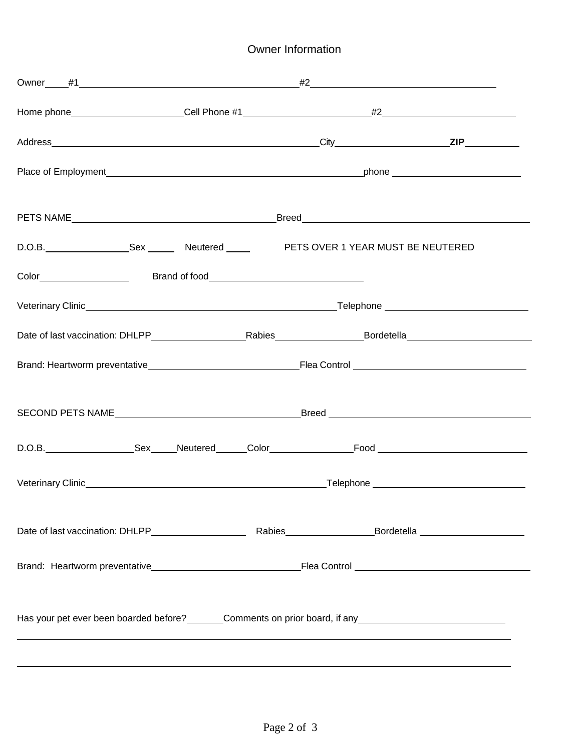## Owner Information

|                                                                        | D.O.B. _____________________Sex __________Neutered ______________________________<br>PETS OVER 1 YEAR MUST BE NEUTERED |  |  |  |  |  |
|------------------------------------------------------------------------|------------------------------------------------------------------------------------------------------------------------|--|--|--|--|--|
|                                                                        |                                                                                                                        |  |  |  |  |  |
|                                                                        |                                                                                                                        |  |  |  |  |  |
|                                                                        |                                                                                                                        |  |  |  |  |  |
|                                                                        |                                                                                                                        |  |  |  |  |  |
|                                                                        |                                                                                                                        |  |  |  |  |  |
|                                                                        |                                                                                                                        |  |  |  |  |  |
|                                                                        |                                                                                                                        |  |  |  |  |  |
|                                                                        |                                                                                                                        |  |  |  |  |  |
|                                                                        |                                                                                                                        |  |  |  |  |  |
| Has your pet ever been boarded before? Comments on prior board, if any |                                                                                                                        |  |  |  |  |  |
|                                                                        |                                                                                                                        |  |  |  |  |  |